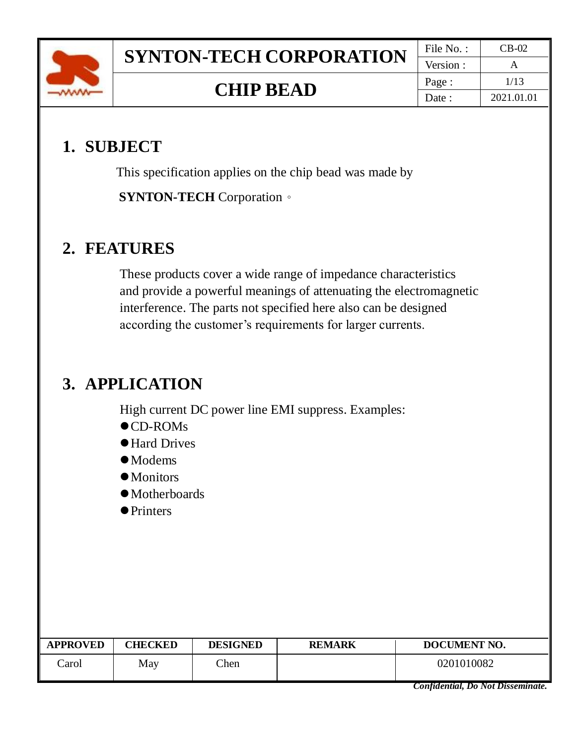

## **1. SUBJECT**

This specification applies on the chip bead was made by **SYNTON-TECH** Corporation。

## **2. FEATURES**

These products cover a wide range of impedance characteristics and provide a powerful meanings of attenuating the electromagnetic interference. The parts not specified here also can be designed according the customer's requirements for larger currents.

# **3. APPLICATION**

High current DC power line EMI suppress. Examples:

- ⚫CD-ROMs
- Hard Drives
- ⚫Modems
- $\bullet$  Monitors
- ⚫Motherboards
- Printers

| <b>APPROVED</b> | <b>CHECKED</b> | <b>DESIGNED</b> | <b>REMARK</b> | DOCUMENT NO. |
|-----------------|----------------|-----------------|---------------|--------------|
| Carol           | May            | Chen            |               | 0201010082   |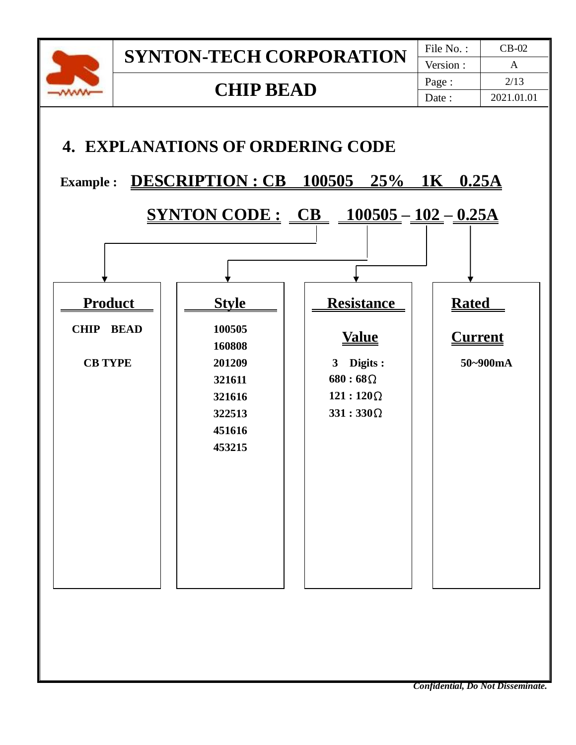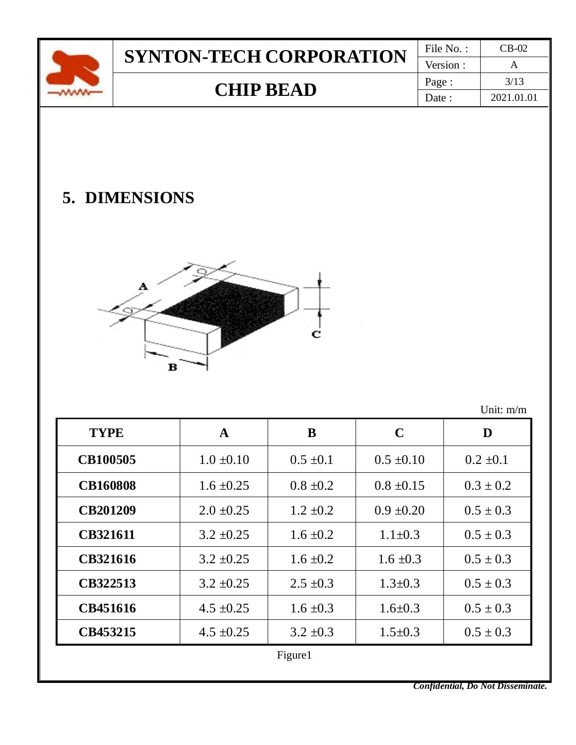| Version:<br>3/13<br>Page: |  | <b>SYNTON-TECH CORPORATION</b> | File No.: | CB-02 |
|---------------------------|--|--------------------------------|-----------|-------|
|                           |  |                                |           |       |
|                           |  | <b>CHIP BEAD</b>               |           |       |
| 2021.01.01<br>Date        |  |                                |           |       |

# **5. DIMENSIONS**



Unit: m/m

| <b>TYPE</b>     | $\mathbf A$    | B             | $\mathbf C$    | D             |
|-----------------|----------------|---------------|----------------|---------------|
| <b>CB100505</b> | $1.0 \pm 0.10$ | $0.5 \pm 0.1$ | $0.5 \pm 0.10$ | $0.2 \pm 0.1$ |
| <b>CB160808</b> | $1.6 \pm 0.25$ | $0.8 \pm 0.2$ | $0.8 \pm 0.15$ | $0.3 \pm 0.2$ |
| <b>CB201209</b> | $2.0 \pm 0.25$ | $1.2 \pm 0.2$ | $0.9 \pm 0.20$ | $0.5 \pm 0.3$ |
| <b>CB321611</b> | $3.2 \pm 0.25$ | $1.6 \pm 0.2$ | $1.1 \pm 0.3$  | $0.5 \pm 0.3$ |
| <b>CB321616</b> | $3.2 \pm 0.25$ | $1.6 \pm 0.2$ | $1.6 \pm 0.3$  | $0.5 \pm 0.3$ |
| CB322513        | $3.2 \pm 0.25$ | $2.5 \pm 0.3$ | $1.3 \pm 0.3$  | $0.5 \pm 0.3$ |
| CB451616        | $4.5 \pm 0.25$ | $1.6 \pm 0.3$ | $1.6 \pm 0.3$  | $0.5 \pm 0.3$ |
| CB453215        | $4.5 \pm 0.25$ | $3.2 \pm 0.3$ | $1.5 \pm 0.3$  | $0.5 \pm 0.3$ |
| Figure1         |                |               |                |               |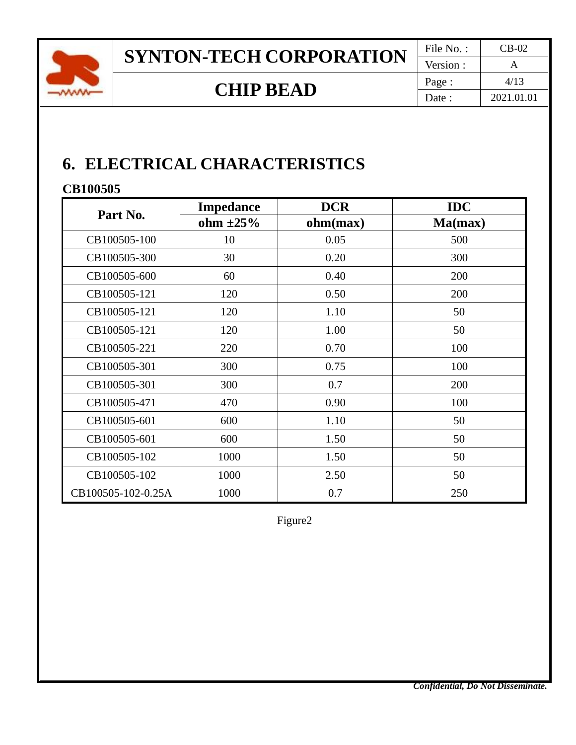

## **6. ELECTRICAL CHARACTERISTICS**

### **CB100505**

|                    | <b>Impedance</b> | <b>DCR</b> | <b>IDC</b> |
|--------------------|------------------|------------|------------|
| Part No.           | ohm $\pm 25\%$   | ohm(max)   | Ma(max)    |
| CB100505-100       | 10               | 0.05       | 500        |
| CB100505-300       | 30               | 0.20       | 300        |
| CB100505-600       | 60               | 0.40       | 200        |
| CB100505-121       | 120              | 0.50       | 200        |
| CB100505-121       | 120              | 1.10       | 50         |
| CB100505-121       | 120              | 1.00       | 50         |
| CB100505-221       | 220              | 0.70       | 100        |
| CB100505-301       | 300              | 0.75       | 100        |
| CB100505-301       | 300              | 0.7        | 200        |
| CB100505-471       | 470              | 0.90       | 100        |
| CB100505-601       | 600              | 1.10       | 50         |
| CB100505-601       | 600              | 1.50       | 50         |
| CB100505-102       | 1000             | 1.50       | 50         |
| CB100505-102       | 1000             | 2.50       | 50         |
| CB100505-102-0.25A | 1000             | 0.7        | 250        |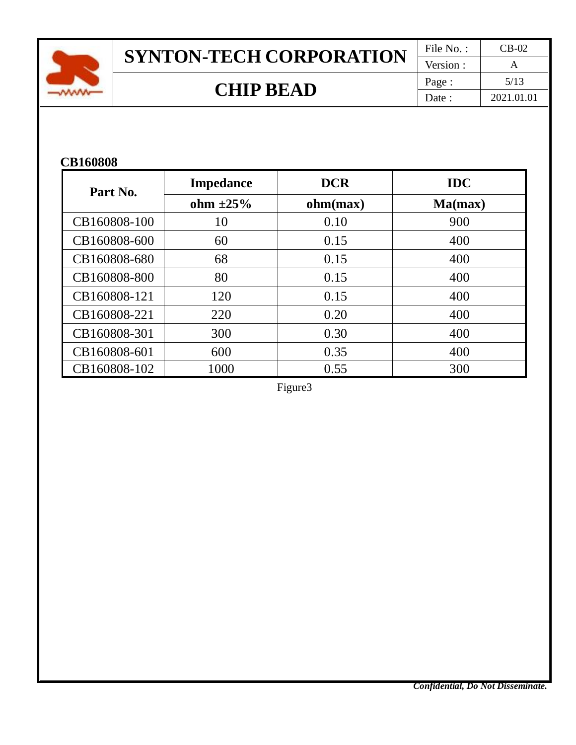

# **SYNTON-TECH CORPORATION**  $\frac{\text{File No. :}}{\text{Version :}} \frac{\text{CB-02}}{\text{A}}$

Version : **CHIP BEAD**  $\begin{array}{|c|c|c|c|c|}\n\hline\n\text{Page}: & \text{5/13} \\
\hline\n\text{Date}: & \text{2021.01}\n\end{array}$ Date : 2021.01.01

#### **CB160808**

| Part No.     | <b>Impedance</b> | <b>DCR</b> | <b>IDC</b> |
|--------------|------------------|------------|------------|
|              | ohm $\pm 25\%$   | ohm(max)   | Ma(max)    |
| CB160808-100 | 10               | 0.10       | 900        |
| CB160808-600 | 60               | 0.15       | 400        |
| CB160808-680 | 68               | 0.15       | 400        |
| CB160808-800 | 80               | 0.15       | 400        |
| CB160808-121 | 120              | 0.15       | 400        |
| CB160808-221 | 220              | 0.20       | 400        |
| CB160808-301 | 300              | 0.30       | 400        |
| CB160808-601 | 600              | 0.35       | 400        |
| CB160808-102 | 1000             | 0.55       | 300        |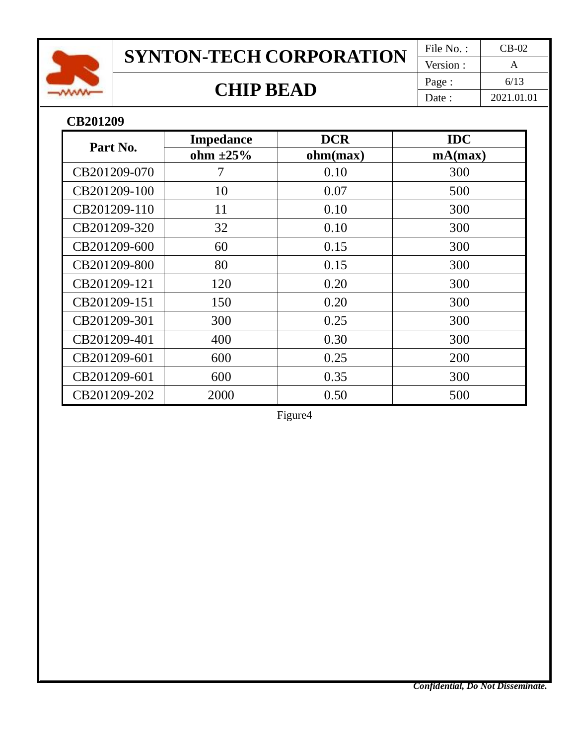

# **SYNTON-TECH CORPORATION**  $\frac{\text{File No. :}}{\text{Version :}} \frac{\text{CB-02}}{\text{A}}$

Version : **CHIP BEAD**  $\begin{array}{|c|c|c|c|c|}\n\hline\n\text{Page}: & \text{6/13} \\
\hline\n\text{Date}: & \text{2021.01}\n\end{array}$ Date : 2021.01.01

#### **CB201209**

| Part No.     | <b>Impedance</b> | <b>DCR</b> | <b>IDC</b> |
|--------------|------------------|------------|------------|
|              | ohm $\pm 25\%$   | ohm(max)   | mA(max)    |
| CB201209-070 | 7                | 0.10       | 300        |
| CB201209-100 | 10               | 0.07       | 500        |
| CB201209-110 | 11               | 0.10       | 300        |
| CB201209-320 | 32               | 0.10       | 300        |
| CB201209-600 | 60               | 0.15       | 300        |
| CB201209-800 | 80               | 0.15       | 300        |
| CB201209-121 | 120              | 0.20       | 300        |
| CB201209-151 | 150              | 0.20       | 300        |
| CB201209-301 | 300              | 0.25       | 300        |
| CB201209-401 | 400              | 0.30       | 300        |
| CB201209-601 | 600              | 0.25       | <b>200</b> |
| CB201209-601 | 600              | 0.35       | 300        |
| CB201209-202 | 2000             | 0.50       | 500        |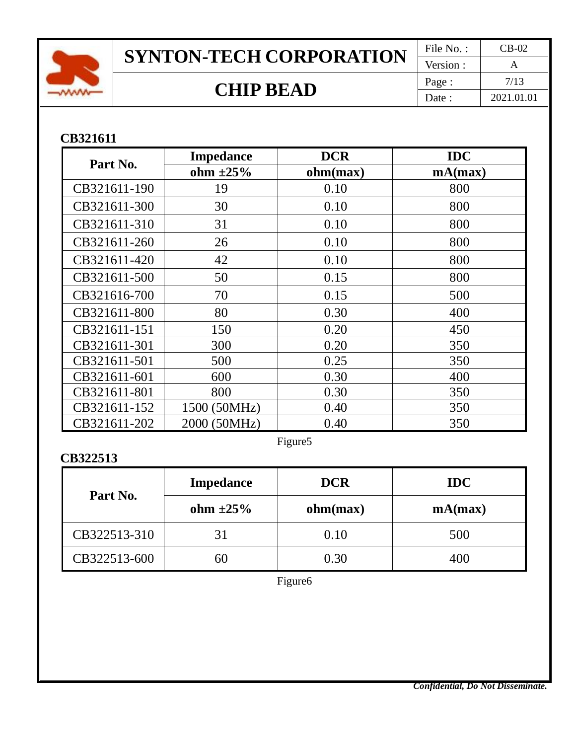

# **SYNTON-TECH CORPORATION**  $\frac{\text{File No. :}}{\text{Version :}} \frac{\text{CB-02}}{A}$

Version : **CHIP BEAD**  $\begin{array}{|c|c|c|c|c|}\n\hline\n\text{Page}: & \text{7/13} \\
\hline\n\text{Date}: & \text{2021.01}\n\end{array}$ Date : 2021.01.01

### **CB321611**

| Part No.     | <b>Impedance</b> | <b>DCR</b> | <b>IDC</b> |
|--------------|------------------|------------|------------|
|              | ohm $\pm 25\%$   | ohm(max)   | mA(max)    |
| CB321611-190 | 19               | 0.10       | 800        |
| CB321611-300 | 30               | 0.10       | 800        |
| CB321611-310 | 31               | 0.10       | 800        |
| CB321611-260 | 26               | 0.10       | 800        |
| CB321611-420 | 42               | 0.10       | 800        |
| CB321611-500 | 50               | 0.15       | 800        |
| CB321616-700 | 70               | 0.15       | 500        |
| CB321611-800 | 80               | 0.30       | 400        |
| CB321611-151 | 150              | 0.20       | 450        |
| CB321611-301 | 300              | 0.20       | 350        |
| CB321611-501 | 500              | 0.25       | 350        |
| CB321611-601 | 600              | 0.30       | 400        |
| CB321611-801 | 800              | 0.30       | 350        |
| CB321611-152 | 1500 (50MHz)     | 0.40       | 350        |
| CB321611-202 | 2000 (50MHz)     | 0.40       | 350        |

Figure5

### **CB322513**

| Part No.     | <b>Impedance</b> | <b>DCR</b> | <b>IDC</b> |
|--------------|------------------|------------|------------|
|              | ohm $\pm 25\%$   | ohm(max)   | mA(max)    |
| CB322513-310 | 31               | 0.10       | 500        |
| CB322513-600 |                  | 0.30       | 400        |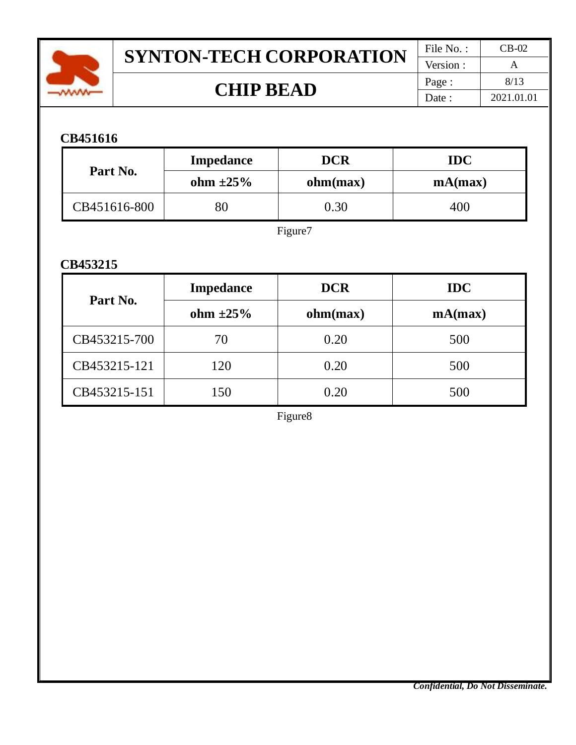

# **SYNTON-TECH CORPORATION**  $\frac{\text{File No. :}}{\text{Version :}} \frac{\text{CB-02}}{A}$

Version : **CHIP BEAD**  $\begin{array}{|c|c|c|c|c|}\n\hline\n\text{Page}: & \text{8/13} \\
\hline\n\text{Date}: & \text{2021.01}\n\end{array}$ Date : 2021.01.01

### **CB451616**

| Part No.     | <b>Impedance</b> | <b>DCR</b> | <b>IDC</b> |
|--------------|------------------|------------|------------|
|              | ohm $\pm 25\%$   | ohm(max)   | mA(max)    |
| CB451616-800 |                  | 0.30       | 400        |

Figure7

#### **CB453215**

|              | <b>Impedance</b> | <b>DCR</b> | <b>IDC</b> |
|--------------|------------------|------------|------------|
| Part No.     | ohm $\pm 25\%$   | ohm(max)   | mA(max)    |
| CB453215-700 | 70               | 0.20       | 500        |
| CB453215-121 | 120              | 0.20       | 500        |
| CB453215-151 | 150              | 0.20       | 500        |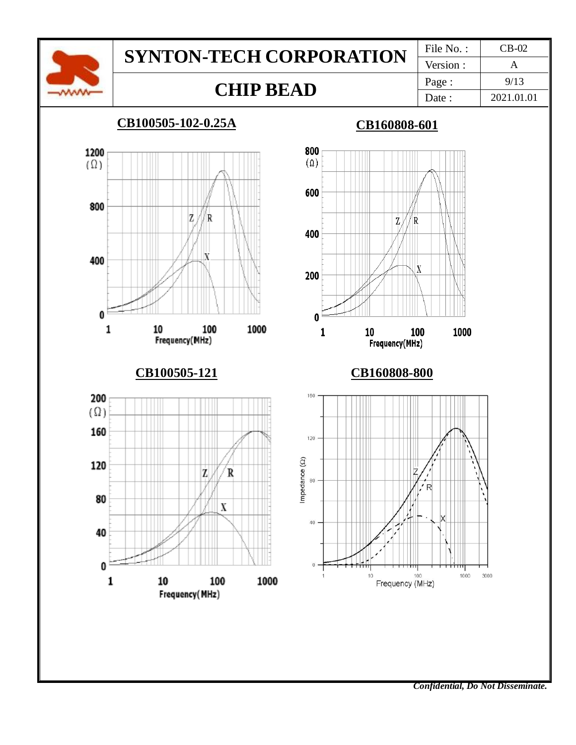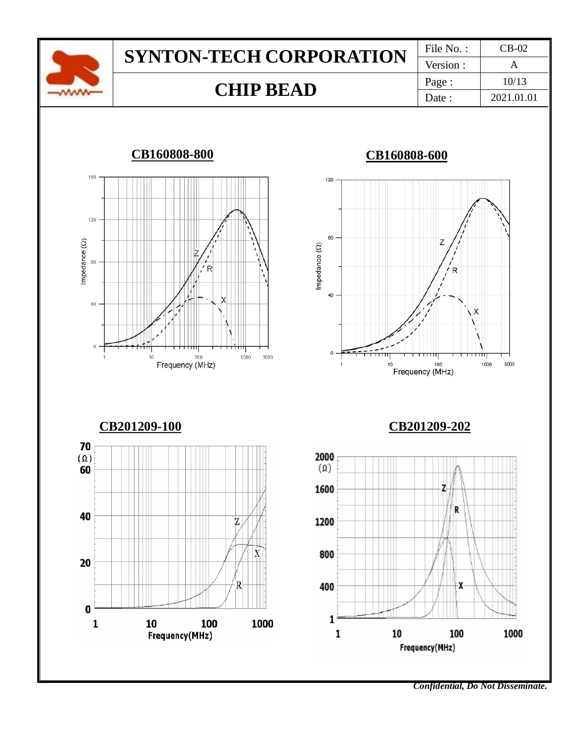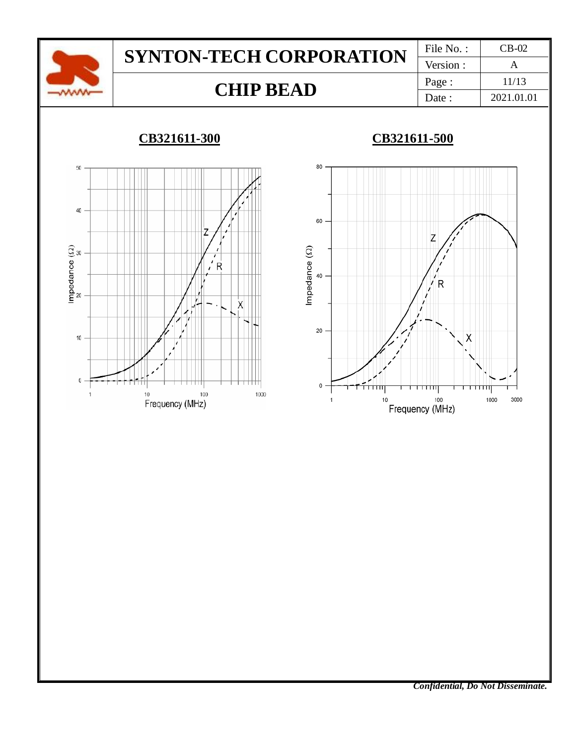

### **CB321611-300 CB321611-500**



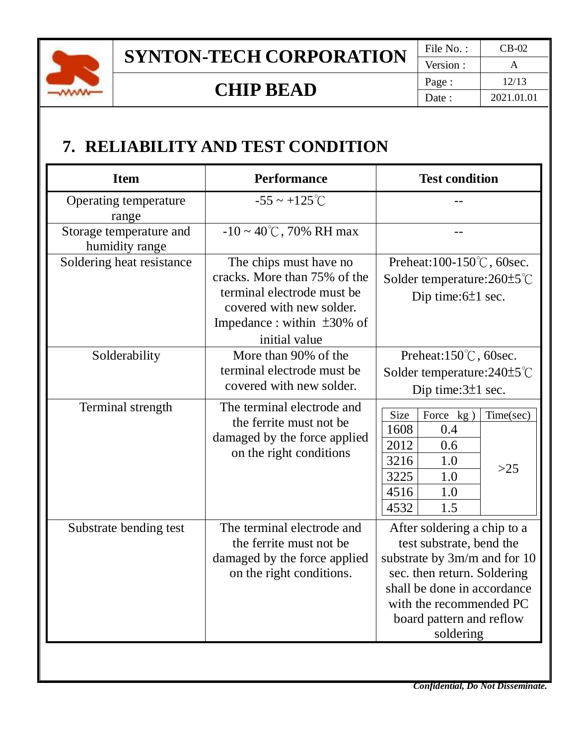

# **SYNTON-TECH CORPORATION**  $\frac{\text{File No. :}}{\text{Version :}} \frac{\text{CB-02}}{A}$

Version : **CHIP BEAD**  $\begin{array}{|c|c|c|c|c|}\n\hline\n\text{Page}: & \text{12/13} \\
\hline\n\text{Date}: & \text{2021.01.0}\n\end{array}$ Date : 2021.01.01

## **7. RELIABILITY AND TEST CONDITION**

| <b>Item</b>                               | <b>Performance</b>                                                                                                                                                    | <b>Test condition</b>                                                                                                                                                                                                     |
|-------------------------------------------|-----------------------------------------------------------------------------------------------------------------------------------------------------------------------|---------------------------------------------------------------------------------------------------------------------------------------------------------------------------------------------------------------------------|
| Operating temperature<br>range            | $-55 \sim +125^{\circ}C$                                                                                                                                              |                                                                                                                                                                                                                           |
| Storage temperature and<br>humidity range | $-10 \sim 40^{\circ}$ C, 70% RH max                                                                                                                                   |                                                                                                                                                                                                                           |
| Soldering heat resistance                 | The chips must have no<br>cracks. More than 75% of the<br>terminal electrode must be<br>covered with new solder.<br>Impedance : within $\pm 30\%$ of<br>initial value | Preheat:100-150℃, 60sec.<br>Solder temperature: $260 \pm 5^{\circ}$ C<br>Dip time: $6±1$ sec.                                                                                                                             |
| Solderability                             | More than 90% of the<br>terminal electrode must be<br>covered with new solder.                                                                                        | Preheat:150℃, 60sec.<br>Solder temperature: $240\pm5^{\circ}$ C<br>Dip time: $3\pm 1$ sec.                                                                                                                                |
| Terminal strength                         | The terminal electrode and<br>the ferrite must not be<br>damaged by the force applied<br>on the right conditions                                                      | Size<br>Force kg)<br>Time(sec)<br>1608<br>0.4<br>2012<br>0.6<br>3216<br>1.0<br>$>25$<br>3225<br>1.0<br>4516<br>1.0<br>4532<br>1.5                                                                                         |
| Substrate bending test                    | The terminal electrode and<br>the ferrite must not be<br>damaged by the force applied<br>on the right conditions.                                                     | After soldering a chip to a<br>test substrate, bend the<br>substrate by 3m/m and for 10<br>sec. then return. Soldering<br>shall be done in accordance<br>with the recommended PC<br>board pattern and reflow<br>soldering |